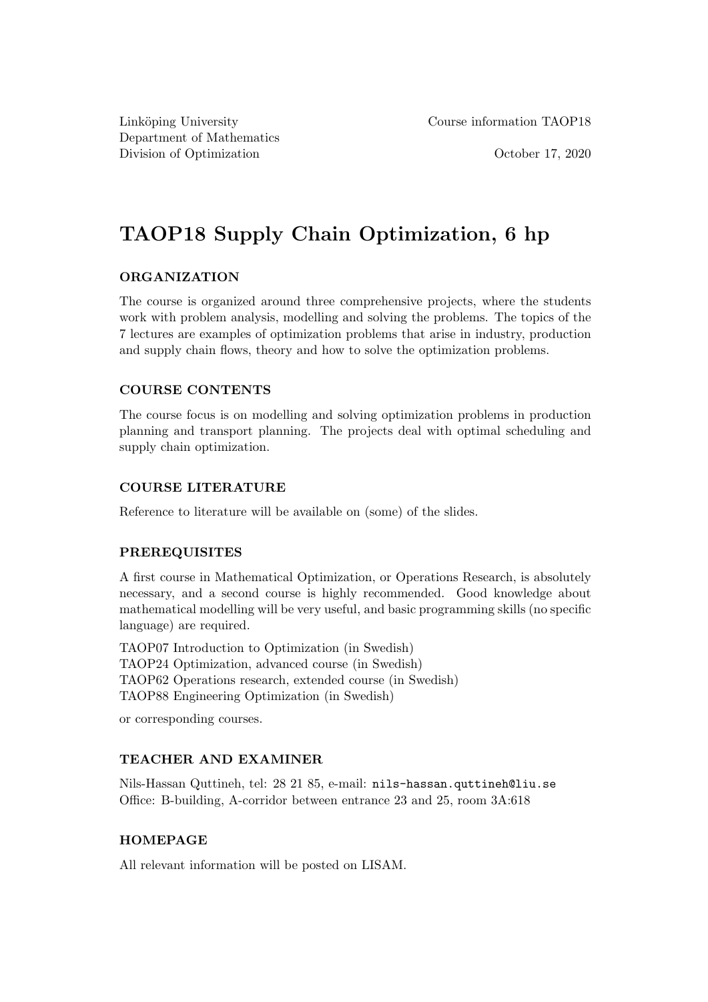Department of Mathematics Division of Optimization **October 17, 2020** 

Linköping University Course information TAOP18

# TAOP18 Supply Chain Optimization, 6 hp

## ORGANIZATION

The course is organized around three comprehensive projects, where the students work with problem analysis, modelling and solving the problems. The topics of the 7 lectures are examples of optimization problems that arise in industry, production and supply chain flows, theory and how to solve the optimization problems.

# COURSE CONTENTS

The course focus is on modelling and solving optimization problems in production planning and transport planning. The projects deal with optimal scheduling and supply chain optimization.

# COURSE LITERATURE

Reference to literature will be available on (some) of the slides.

## PREREQUISITES

A first course in Mathematical Optimization, or Operations Research, is absolutely necessary, and a second course is highly recommended. Good knowledge about mathematical modelling will be very useful, and basic programming skills (no specific language) are required.

TAOP07 Introduction to Optimization (in Swedish) TAOP24 Optimization, advanced course (in Swedish) TAOP62 Operations research, extended course (in Swedish) TAOP88 Engineering Optimization (in Swedish)

or corresponding courses.

## TEACHER AND EXAMINER

Nils-Hassan Quttineh, tel: 28 21 85, e-mail: nils-hassan.quttineh@liu.se Office: B-building, A-corridor between entrance 23 and 25, room 3A:618

## HOMEPAGE

All relevant information will be posted on LISAM.